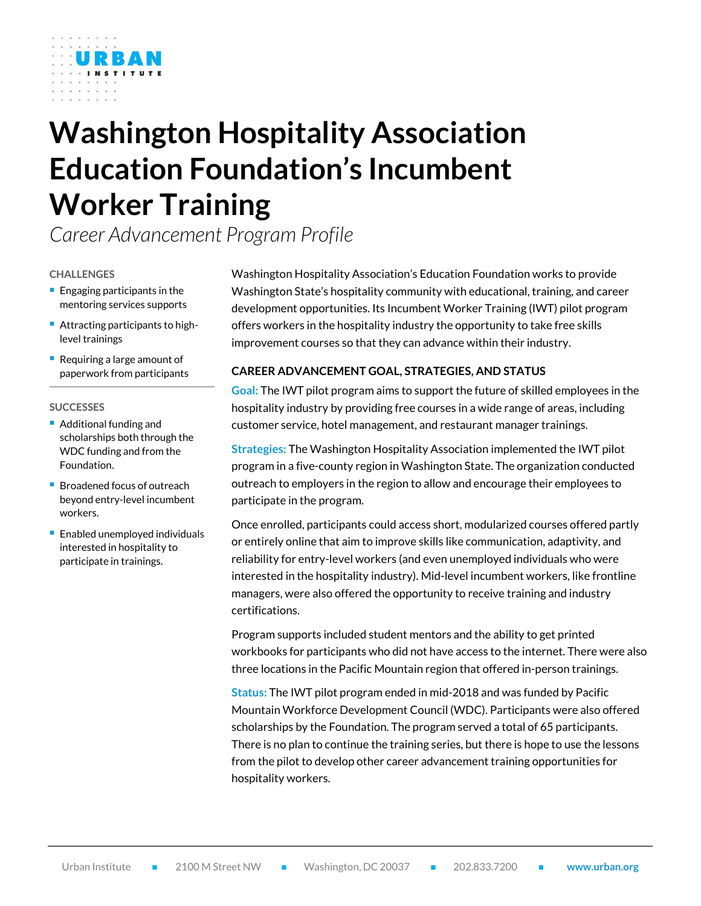# **Washington Hospitality Association Education Foundation's Incumbent Worker Training**

*Career Advancement Program Profile*

#### **CHALLENGES**

- $\blacksquare$  Engaging participants in the mentoring services supports
- Attracting participants to highlevel trainings
- Requiring a large amount of paperwork from participants

#### **SUCCESSES**

- Additional funding and scholarships both through the WDC funding and from the Foundation.
- Broadened focus of outreach beyond entry-level incumbent workers.
- **Enabled unemployed individuals** interested in hospitality to participate in trainings.

Washington Hospitality Association's Education Foundation works to provide Washington State's hospitality community with educational, training, and career development opportunities. Its Incumbent Worker Training (IWT) pilot program offers workers in the hospitality industry the opportunity to take free skills improvement courses so that they can advance within their industry.

# **CAREER ADVANCEMENT GOAL, STRATEGIES, AND STATUS**

**Goal:** The IWT pilot program aims to support the future of skilled employees in the hospitality industry by providing free courses in a wide range of areas, including customer service, hotel management, and restaurant manager trainings.

**Strategies:** The Washington Hospitality Association implemented the IWT pilot program in a five-county region in Washington State. The organization conducted outreach to employers in the region to allow and encourage their employees to participate in the program.

Once enrolled, participants could access short, modularized courses offered partly or entirely online that aim to improve skills like communication, adaptivity, and reliability for entry-level workers (and even unemployed individuals who were interested in the hospitality industry). Mid-level incumbent workers, like frontline managers, were also offered the opportunity to receive training and industry certifications.

Program supports included student mentors and the ability to get printed workbooks for participants who did not have access to the internet. There were also three locations in the Pacific Mountain region that offered in-person trainings.

**Status:** The IWT pilot program ended in mid-2018 and was funded by Pacific Mountain Workforce Development Council (WDC). Participants were also offered scholarships by the Foundation. The program served a total of 65 participants. There is no plan to continue the training series, but there is hope to use the lessons from the pilot to develop other career advancement training opportunities for hospitality workers.